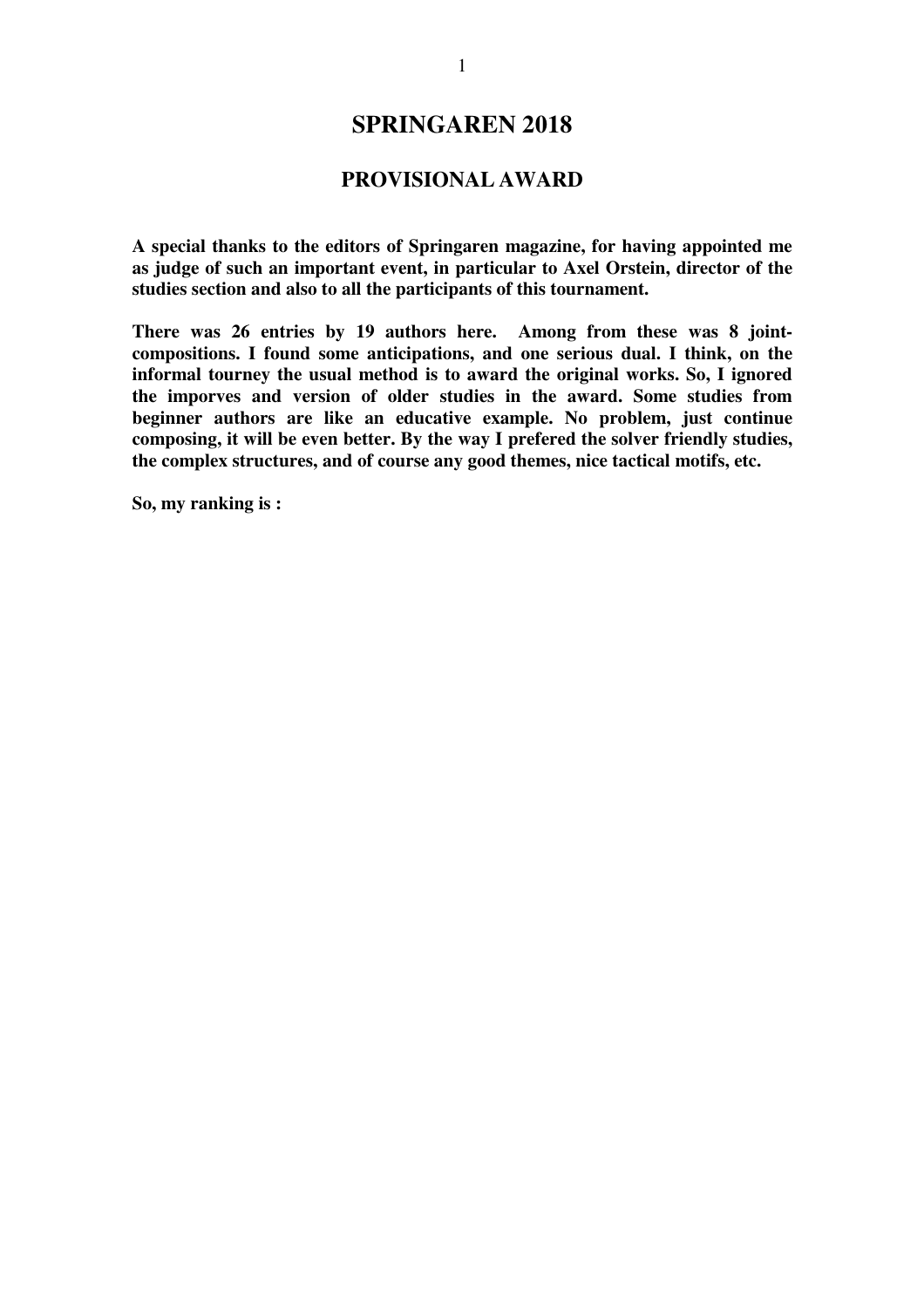# **SPRINGAREN 2018**

## **PROVISIONAL AWARD**

**A special thanks to the editors of Springaren magazine, for having appointed me as judge of such an important event, in particular to Axel Orstein, director of the studies section and also to all the participants of this tournament.** 

**There was 26 entries by 19 authors here. Among from these was 8 jointcompositions. I found some anticipations, and one serious dual. I think, on the informal tourney the usual method is to award the original works. So, I ignored the imporves and version of older studies in the award. Some studies from beginner authors are like an educative example. No problem, just continue composing, it will be even better. By the way I prefered the solver friendly studies, the complex structures, and of course any good themes, nice tactical motifs, etc.** 

**So, my ranking is :**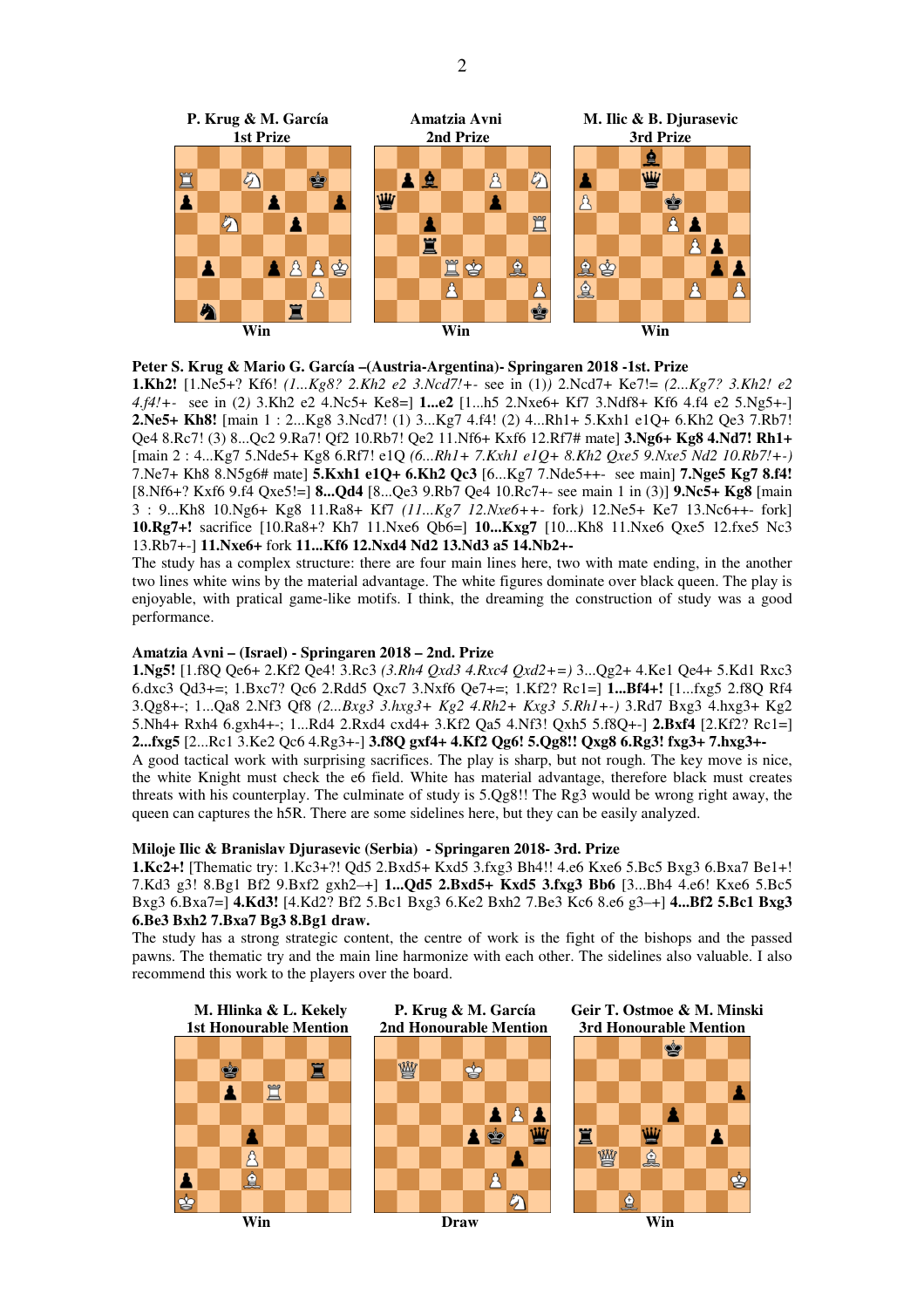



**1.Kh2!** [1.Ne5+? Kf6! *(1...Kg8? 2.Kh2 e2 3.Ncd7!+-* see in (1)*)* 2.Ncd7+ Ke7!= *(2...Kg7? 3.Kh2! e2 4.f4!+-* see in (2*)* 3.Kh2 e2 4.Nc5+ Ke8=] **1...e2** [1...h5 2.Nxe6+ Kf7 3.Ndf8+ Kf6 4.f4 e2 5.Ng5+-] **2.Ne5+ Kh8!** [main 1 : 2...Kg8 3.Ncd7! (1) 3...Kg7 4.f4! (2) 4...Rh1+ 5.Kxh1 e1Q+ 6.Kh2 Qe3 7.Rb7! Qe4 8.Rc7! (3) 8...Qc2 9.Ra7! Qf2 10.Rb7! Qe2 11.Nf6+ Kxf6 12.Rf7# mate] **3.Ng6+ Kg8 4.Nd7! Rh1+**  [main 2 : 4...Kg7 5.Nde5+ Kg8 6.Rf7! e1Q *(6...Rh1+ 7.Kxh1 e1Q+ 8.Kh2 Qxe5 9.Nxe5 Nd2 10.Rb7!+-)*  7.Ne7+ Kh8 8.N5g6# mate] **5.Kxh1 e1Q+ 6.Kh2 Qc3** [6...Kg7 7.Nde5++- see main] **7.Nge5 Kg7 8.f4!**  [8.Nf6+? Kxf6 9.f4 Qxe5!=] **8...Qd4** [8...Qe3 9.Rb7 Qe4 10.Rc7+- see main 1 in (3)] **9.Nc5+ Kg8** [main 3 : 9...Kh8 10.Ng6+ Kg8 11.Ra8+ Kf7 *(11...Kg7 12.Nxe6++-* fork*)* 12.Ne5+ Ke7 13.Nc6++- fork] **10.Rg7+!** sacrifice [10.Ra8+? Kh7 11.Nxe6 Qb6=] **10...Kxg7** [10...Kh8 11.Nxe6 Qxe5 12.fxe5 Nc3 13.Rb7+-] **11.Nxe6+** fork **11...Kf6 12.Nxd4 Nd2 13.Nd3 a5 14.Nb2+-** 

The study has a complex structure: there are four main lines here, two with mate ending, in the another two lines white wins by the material advantage. The white figures dominate over black queen. The play is enjoyable, with pratical game-like motifs. I think, the dreaming the construction of study was a good performance.

### **Amatzia Avni – (Israel) - Springaren 2018 – 2nd. Prize**

**1.Ng5!** [1.f8Q Qe6+ 2.Kf2 Qe4! 3.Rc3 *(3.Rh4 Qxd3 4.Rxc4 Qxd2+=)* 3...Qg2+ 4.Ke1 Qe4+ 5.Kd1 Rxc3 6.dxc3 Qd3+=; 1.Bxc7? Qc6 2.Rdd5 Qxc7 3.Nxf6 Qe7+=; 1.Kf2? Rc1=] **1...Bf4+!** [1...fxg5 2.f8Q Rf4 3.Qg8+-; 1...Qa8 2.Nf3 Qf8 *(2...Bxg3 3.hxg3+ Kg2 4.Rh2+ Kxg3 5.Rh1+-)* 3.Rd7 Bxg3 4.hxg3+ Kg2 5.Nh4+ Rxh4 6.gxh4+-; 1...Rd4 2.Rxd4 cxd4+ 3.Kf2 Qa5 4.Nf3! Qxh5 5.f8Q+-] **2.Bxf4** [2.Kf2? Rc1=] **2...fxg5** [2...Rc1 3.Ke2 Qc6 4.Rg3+-] **3.f8Q gxf4+ 4.Kf2 Qg6! 5.Qg8!! Qxg8 6.Rg3! fxg3+ 7.hxg3+-** 

A good tactical work with surprising sacrifices. The play is sharp, but not rough. The key move is nice, the white Knight must check the e6 field. White has material advantage, therefore black must creates threats with his counterplay. The culminate of study is 5.Qg8!! The Rg3 would be wrong right away, the queen can captures the h5R. There are some sidelines here, but they can be easily analyzed.

#### **Miloje Ilic & Branislav Djurasevic (Serbia) - Springaren 2018- 3rd. Prize**

**1.Kc2+!** [Thematic try: 1.Kc3+?! Qd5 2.Bxd5+ Kxd5 3.fxg3 Bh4!! 4.e6 Kxe6 5.Bc5 Bxg3 6.Bxa7 Be1+! 7.Kd3 g3! 8.Bg1 Bf2 9.Bxf2 gxh2–+] **1...Qd5 2.Bxd5+ Kxd5 3.fxg3 Bb6** [3...Bh4 4.e6! Kxe6 5.Bc5 Bxg3 6.Bxa7=] **4.Kd3!** [4.Kd2? Bf2 5.Bc1 Bxg3 6.Ke2 Bxh2 7.Be3 Kc6 8.e6 g3–+] **4...Bf2 5.Bc1 Bxg3 6.Be3 Bxh2 7.Bxa7 Bg3 8.Bg1 draw.** 

The study has a strong strategic content, the centre of work is the fight of the bishops and the passed pawns. The thematic try and the main line harmonize with each other. The sidelines also valuable. I also recommend this work to the players over the board.



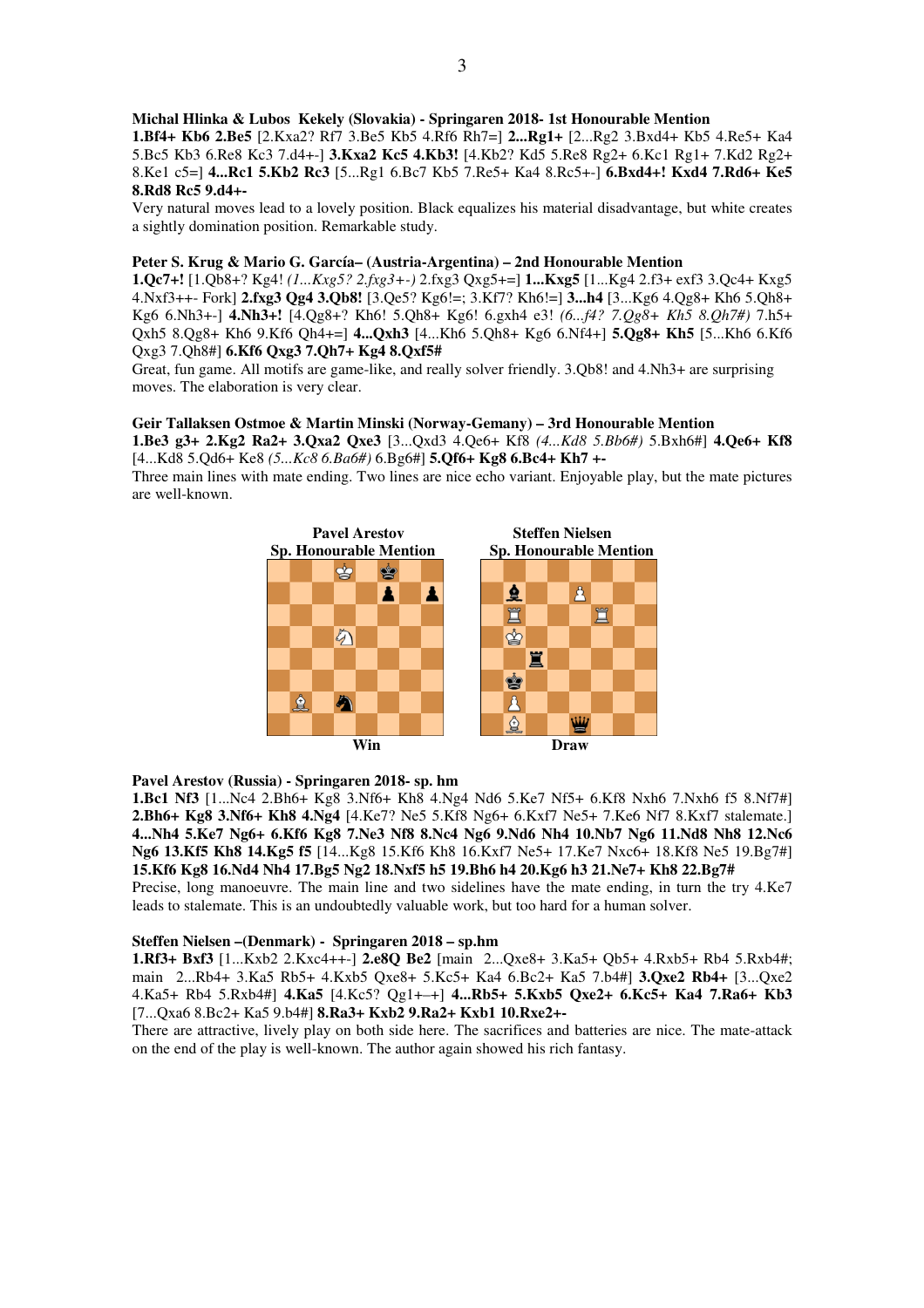**Michal Hlinka & Lubos Kekely (Slovakia) - Springaren 2018- 1st Honourable Mention** 

**1.Bf4+ Kb6 2.Be5** [2.Kxa2? Rf7 3.Be5 Kb5 4.Rf6 Rh7=] **2...Rg1+** [2...Rg2 3.Bxd4+ Kb5 4.Re5+ Ka4 5.Bc5 Kb3 6.Re8 Kc3 7.d4+-] **3.Kxa2 Kc5 4.Kb3!** [4.Kb2? Kd5 5.Re8 Rg2+ 6.Kc1 Rg1+ 7.Kd2 Rg2+ 8.Ke1 c5=] **4...Rc1 5.Kb2 Rc3** [5...Rg1 6.Bc7 Kb5 7.Re5+ Ka4 8.Rc5+-] **6.Bxd4+! Kxd4 7.Rd6+ Ke5 8.Rd8 Rc5 9.d4+-** 

Very natural moves lead to a lovely position. Black equalizes his material disadvantage, but white creates a sightly domination position. Remarkable study.

### **Peter S. Krug & Mario G. García– (Austria-Argentina) – 2nd Honourable Mention**

**1.Qc7+!** [1.Qb8+? Kg4! *(1...Kxg5? 2.fxg3+-)* 2.fxg3 Qxg5+=] **1...Kxg5** [1...Kg4 2.f3+ exf3 3.Qc4+ Kxg5 4.Nxf3++- Fork] **2.fxg3 Qg4 3.Qb8!** [3.Qe5? Kg6!=; 3.Kf7? Kh6!=] **3...h4** [3...Kg6 4.Qg8+ Kh6 5.Qh8+ Kg6 6.Nh3+-] **4.Nh3+!** [4.Qg8+? Kh6! 5.Qh8+ Kg6! 6.gxh4 e3! *(6...f4? 7.Qg8+ Kh5 8.Qh7#)* 7.h5+ Qxh5 8.Qg8+ Kh6 9.Kf6 Qh4+=] **4...Qxh3** [4...Kh6 5.Qh8+ Kg6 6.Nf4+] **5.Qg8+ Kh5** [5...Kh6 6.Kf6 Qxg3 7.Qh8#] **6.Kf6 Qxg3 7.Qh7+ Kg4 8.Qxf5#** 

Great, fun game. All motifs are game-like, and really solver friendly. 3.Qb8! and 4.Nh3+ are surprising moves. The elaboration is very clear.

### **Geir Tallaksen Ostmoe & Martin Minski (Norway-Gemany) – 3rd Honourable Mention**

**1.Be3 g3+ 2.Kg2 Ra2+ 3.Qxa2 Qxe3** [3...Qxd3 4.Qe6+ Kf8 *(4...Kd8 5.Bb6#)* 5.Bxh6#] **4.Qe6+ Kf8**  [4...Kd8 5.Qd6+ Ke8 *(5...Kc8 6.Ba6#)* 6.Bg6#] **5.Qf6+ Kg8 6.Bc4+ Kh7 +-** 

Three main lines with mate ending. Two lines are nice echo variant. Enjoyable play, but the mate pictures are well-known.



**Pavel Arestov (Russia) - Springaren 2018- sp. hm**

**1.Bc1 Nf3** [1...Nc4 2.Bh6+ Kg8 3.Nf6+ Kh8 4.Ng4 Nd6 5.Ke7 Nf5+ 6.Kf8 Nxh6 7.Nxh6 f5 8.Nf7#] **2.Bh6+ Kg8 3.Nf6+ Kh8 4.Ng4** [4.Ke7? Ne5 5.Kf8 Ng6+ 6.Kxf7 Ne5+ 7.Ke6 Nf7 8.Kxf7 stalemate.] **4...Nh4 5.Ke7 Ng6+ 6.Kf6 Kg8 7.Ne3 Nf8 8.Nc4 Ng6 9.Nd6 Nh4 10.Nb7 Ng6 11.Nd8 Nh8 12.Nc6 Ng6 13.Kf5 Kh8 14.Kg5 f5** [14...Kg8 15.Kf6 Kh8 16.Kxf7 Ne5+ 17.Ke7 Nxc6+ 18.Kf8 Ne5 19.Bg7#] **15.Kf6 Kg8 16.Nd4 Nh4 17.Bg5 Ng2 18.Nxf5 h5 19.Bh6 h4 20.Kg6 h3 21.Ne7+ Kh8 22.Bg7#** 

Precise, long manoeuvre. The main line and two sidelines have the mate ending, in turn the try 4.Ke7 leads to stalemate. This is an undoubtedly valuable work, but too hard for a human solver.

### **Steffen Nielsen –(Denmark) - Springaren 2018 – sp.hm**

**1.Rf3+ Bxf3** [1...Kxb2 2.Kxc4++-] **2.e8Q Be2** [main 2...Qxe8+ 3.Ka5+ Qb5+ 4.Rxb5+ Rb4 5.Rxb4#; main 2...Rb4+ 3.Ka5 Rb5+ 4.Kxb5 Qxe8+ 5.Kc5+ Ka4 6.Bc2+ Ka5 7.b4#] **3.Qxe2 Rb4+** [3...Qxe2 4.Ka5+ Rb4 5.Rxb4#] **4.Ka5** [4.Kc5? Qg1+–+] **4...Rb5+ 5.Kxb5 Qxe2+ 6.Kc5+ Ka4 7.Ra6+ Kb3**  [7...Qxa6 8.Bc2+ Ka5 9.b4#] **8.Ra3+ Kxb2 9.Ra2+ Kxb1 10.Rxe2+-** 

There are attractive, lively play on both side here. The sacrifices and batteries are nice. The mate-attack on the end of the play is well-known. The author again showed his rich fantasy.